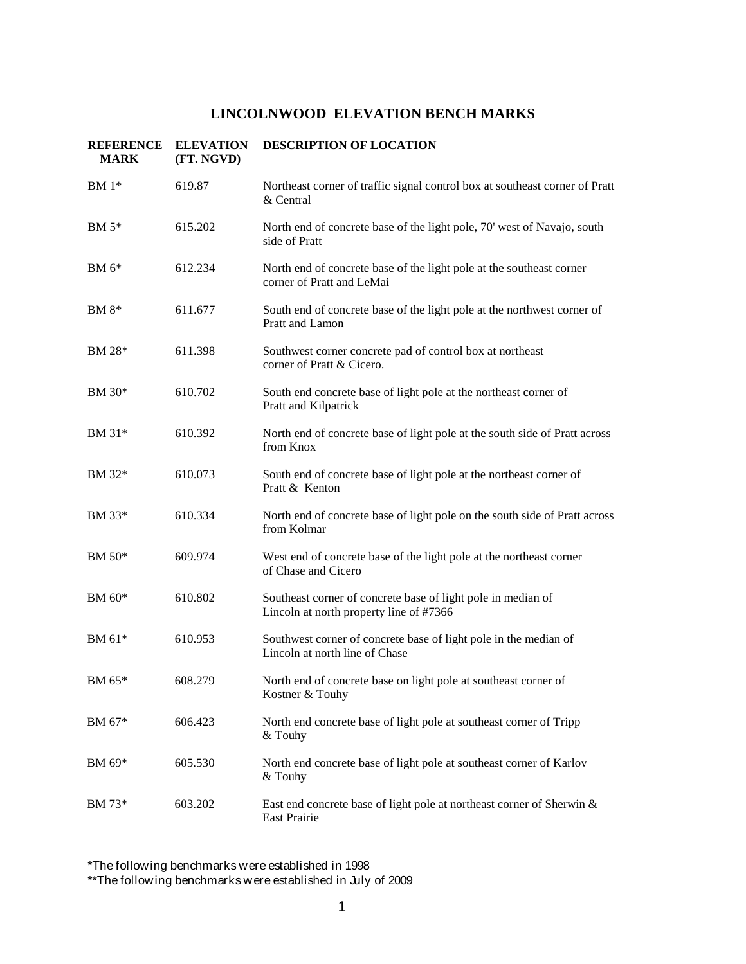| <b>REFERENCE</b><br><b>MARK</b> | <b>ELEVATION</b><br>(FT. NGVD) | <b>DESCRIPTION OF LOCATION</b>                                                                          |
|---------------------------------|--------------------------------|---------------------------------------------------------------------------------------------------------|
| $BM 1*$                         | 619.87                         | Northeast corner of traffic signal control box at southeast corner of Pratt<br>& Central                |
| BM 5*                           | 615.202                        | North end of concrete base of the light pole, 70' west of Navajo, south<br>side of Pratt                |
| $BM 6*$                         | 612.234                        | North end of concrete base of the light pole at the southeast corner<br>corner of Pratt and LeMai       |
| $BM 8*$                         | 611.677                        | South end of concrete base of the light pole at the northwest corner of<br>Pratt and Lamon              |
| BM 28*                          | 611.398                        | Southwest corner concrete pad of control box at northeast<br>corner of Pratt & Cicero.                  |
| BM 30*                          | 610.702                        | South end concrete base of light pole at the northeast corner of<br>Pratt and Kilpatrick                |
| BM 31*                          | 610.392                        | North end of concrete base of light pole at the south side of Pratt across<br>from Knox                 |
| BM 32*                          | 610.073                        | South end of concrete base of light pole at the northeast corner of<br>Pratt & Kenton                   |
| BM 33*                          | 610.334                        | North end of concrete base of light pole on the south side of Pratt across<br>from Kolmar               |
| BM 50*                          | 609.974                        | West end of concrete base of the light pole at the northeast corner<br>of Chase and Cicero              |
| BM 60*                          | 610.802                        | Southeast corner of concrete base of light pole in median of<br>Lincoln at north property line of #7366 |
| BM 61*                          | 610.953                        | Southwest corner of concrete base of light pole in the median of<br>Lincoln at north line of Chase      |
| BM 65*                          | 608.279                        | North end of concrete base on light pole at southeast corner of<br>Kostner & Touhy                      |
| BM 67*                          | 606.423                        | North end concrete base of light pole at southeast corner of Tripp<br>& Touhy                           |
| BM 69*                          | 605.530                        | North end concrete base of light pole at southeast corner of Karlov<br>$&$ Touhy                        |
| BM 73*                          | 603.202                        | East end concrete base of light pole at northeast corner of Sherwin &<br>East Prairie                   |

\*The following benchmarks were established in 1998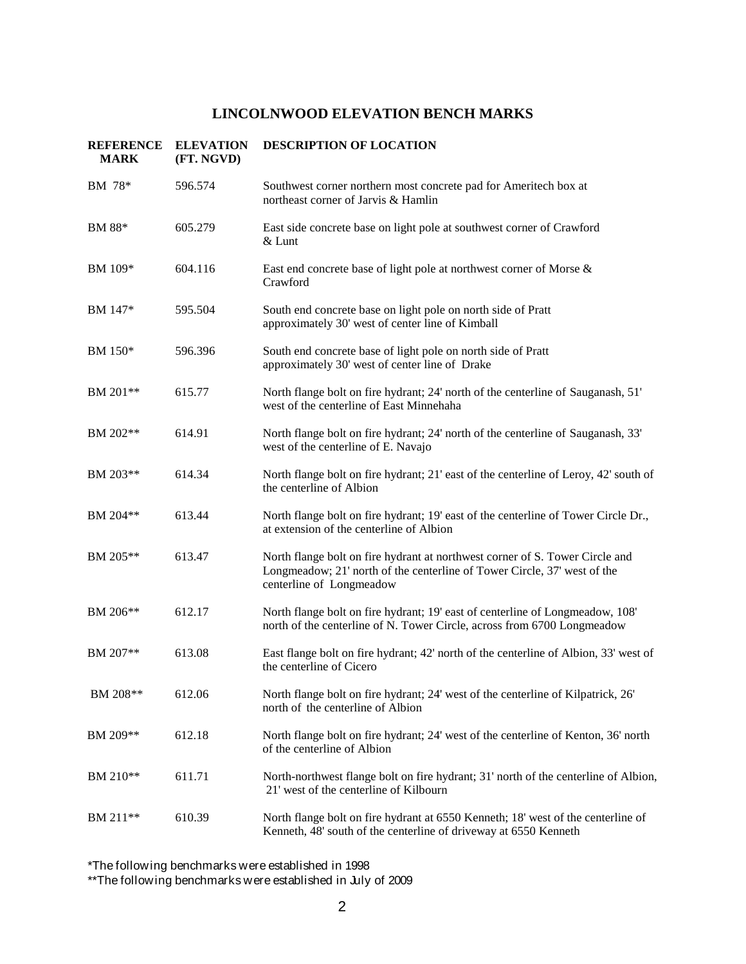| <b>REFERENCE</b><br><b>MARK</b> | <b>ELEVATION</b><br>(FT. NGVD) | <b>DESCRIPTION OF LOCATION</b>                                                                                                                                                       |
|---------------------------------|--------------------------------|--------------------------------------------------------------------------------------------------------------------------------------------------------------------------------------|
| BM 78*                          | 596.574                        | Southwest corner northern most concrete pad for Ameritech box at<br>northeast corner of Jarvis & Hamlin                                                                              |
| BM 88*                          | 605.279                        | East side concrete base on light pole at southwest corner of Crawford<br>$&$ Lunt                                                                                                    |
| BM 109*                         | 604.116                        | East end concrete base of light pole at northwest corner of Morse &<br>Crawford                                                                                                      |
| BM 147*                         | 595.504                        | South end concrete base on light pole on north side of Pratt<br>approximately 30' west of center line of Kimball                                                                     |
| BM 150*                         | 596.396                        | South end concrete base of light pole on north side of Pratt<br>approximately 30' west of center line of Drake                                                                       |
| BM 201**                        | 615.77                         | North flange bolt on fire hydrant; 24' north of the centerline of Sauganash, 51'<br>west of the centerline of East Minnehaha                                                         |
| BM 202**                        | 614.91                         | North flange bolt on fire hydrant; 24' north of the centerline of Sauganash, 33'<br>west of the centerline of E. Navajo                                                              |
| BM 203**                        | 614.34                         | North flange bolt on fire hydrant; 21' east of the centerline of Leroy, 42' south of<br>the centerline of Albion                                                                     |
| BM 204**                        | 613.44                         | North flange bolt on fire hydrant; 19' east of the centerline of Tower Circle Dr.,<br>at extension of the centerline of Albion                                                       |
| BM 205**                        | 613.47                         | North flange bolt on fire hydrant at northwest corner of S. Tower Circle and<br>Longmeadow; 21' north of the centerline of Tower Circle, 37' west of the<br>centerline of Longmeadow |
| BM 206**                        | 612.17                         | North flange bolt on fire hydrant; 19' east of centerline of Longmeadow, 108'<br>north of the centerline of N. Tower Circle, across from 6700 Longmeadow                             |
| BM 207**                        | 613.08                         | East flange bolt on fire hydrant; 42' north of the centerline of Albion, 33' west of<br>the centerline of Cicero                                                                     |
| BM 208**                        | 612.06                         | North flange bolt on fire hydrant; 24' west of the centerline of Kilpatrick, 26'<br>north of the centerline of Albion                                                                |
| BM 209**                        | 612.18                         | North flange bolt on fire hydrant; 24' west of the centerline of Kenton, 36' north<br>of the centerline of Albion                                                                    |
| BM 210**                        | 611.71                         | North-northwest flange bolt on fire hydrant; 31' north of the centerline of Albion,<br>21' west of the centerline of Kilbourn                                                        |
| BM 211 <sup>**</sup>            | 610.39                         | North flange bolt on fire hydrant at 6550 Kenneth; 18' west of the centerline of<br>Kenneth, 48' south of the centerline of driveway at 6550 Kenneth                                 |

\*The following benchmarks were established in 1998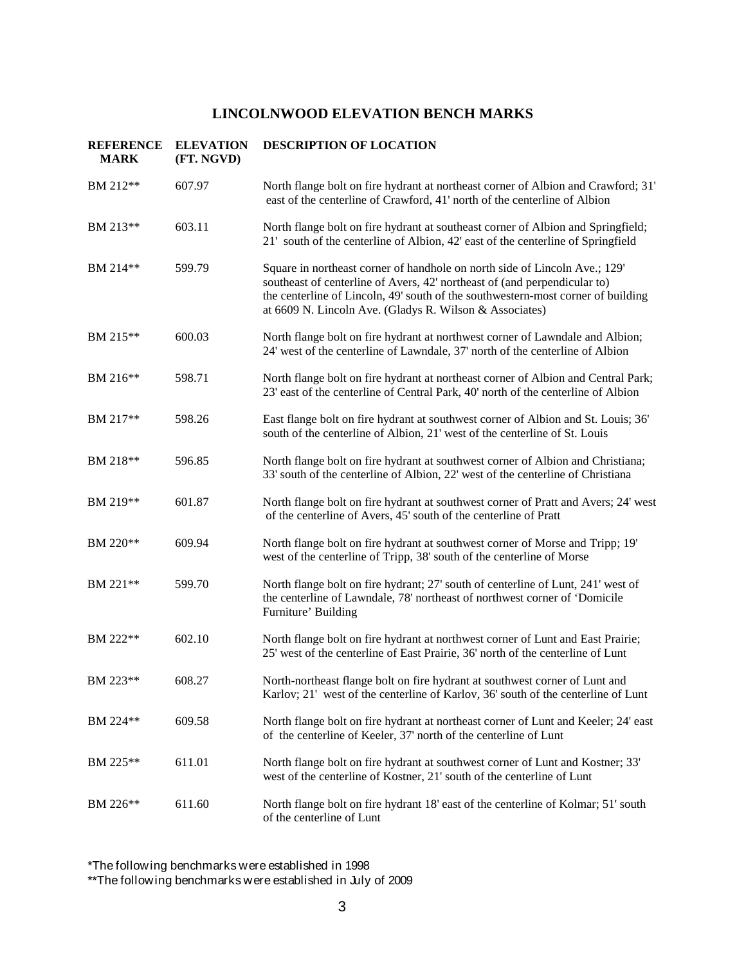| <b>REFERENCE</b><br><b>MARK</b> | <b>ELEVATION</b><br>(FT. NGVD) | DESCRIPTION OF LOCATION                                                                                                                                                                                                                                                                                |
|---------------------------------|--------------------------------|--------------------------------------------------------------------------------------------------------------------------------------------------------------------------------------------------------------------------------------------------------------------------------------------------------|
| BM 212**                        | 607.97                         | North flange bolt on fire hydrant at northeast corner of Albion and Crawford; 31'<br>east of the centerline of Crawford, 41' north of the centerline of Albion                                                                                                                                         |
| BM 213**                        | 603.11                         | North flange bolt on fire hydrant at southeast corner of Albion and Springfield;<br>21' south of the centerline of Albion, 42' east of the centerline of Springfield                                                                                                                                   |
| BM 214**                        | 599.79                         | Square in northeast corner of handhole on north side of Lincoln Ave.; 129'<br>southeast of centerline of Avers, 42' northeast of (and perpendicular to)<br>the centerline of Lincoln, 49' south of the southwestern-most corner of building<br>at 6609 N. Lincoln Ave. (Gladys R. Wilson & Associates) |
| BM 215**                        | 600.03                         | North flange bolt on fire hydrant at northwest corner of Lawndale and Albion;<br>24' west of the centerline of Lawndale, 37' north of the centerline of Albion                                                                                                                                         |
| BM 216**                        | 598.71                         | North flange bolt on fire hydrant at northeast corner of Albion and Central Park;<br>23' east of the centerline of Central Park, 40' north of the centerline of Albion                                                                                                                                 |
| BM 217**                        | 598.26                         | East flange bolt on fire hydrant at southwest corner of Albion and St. Louis; 36'<br>south of the centerline of Albion, 21' west of the centerline of St. Louis                                                                                                                                        |
| BM 218**                        | 596.85                         | North flange bolt on fire hydrant at southwest corner of Albion and Christiana;<br>33' south of the centerline of Albion, 22' west of the centerline of Christiana                                                                                                                                     |
| BM 219**                        | 601.87                         | North flange bolt on fire hydrant at southwest corner of Pratt and Avers; 24' west<br>of the centerline of Avers, 45' south of the centerline of Pratt                                                                                                                                                 |
| BM 220**                        | 609.94                         | North flange bolt on fire hydrant at southwest corner of Morse and Tripp; 19'<br>west of the centerline of Tripp, 38' south of the centerline of Morse                                                                                                                                                 |
| BM 221**                        | 599.70                         | North flange bolt on fire hydrant; 27' south of centerline of Lunt, 241' west of<br>the centerline of Lawndale, 78' northeast of northwest corner of 'Domicile<br>Furniture' Building                                                                                                                  |
| BM 222**                        | 602.10                         | North flange bolt on fire hydrant at northwest corner of Lunt and East Prairie;<br>25' west of the centerline of East Prairie, 36' north of the centerline of Lunt                                                                                                                                     |
| BM 223**                        | 608.27                         | North-northeast flange bolt on fire hydrant at southwest corner of Lunt and<br>Karlov; 21' west of the centerline of Karlov, 36' south of the centerline of Lunt                                                                                                                                       |
| BM 224**                        | 609.58                         | North flange bolt on fire hydrant at northeast corner of Lunt and Keeler; 24' east<br>of the centerline of Keeler, 37' north of the centerline of Lunt                                                                                                                                                 |
| BM 225 <sup>**</sup>            | 611.01                         | North flange bolt on fire hydrant at southwest corner of Lunt and Kostner; 33'<br>west of the centerline of Kostner, 21' south of the centerline of Lunt                                                                                                                                               |
| BM 226**                        | 611.60                         | North flange bolt on fire hydrant 18' east of the centerline of Kolmar; 51' south<br>of the centerline of Lunt                                                                                                                                                                                         |

\*The following benchmarks were established in 1998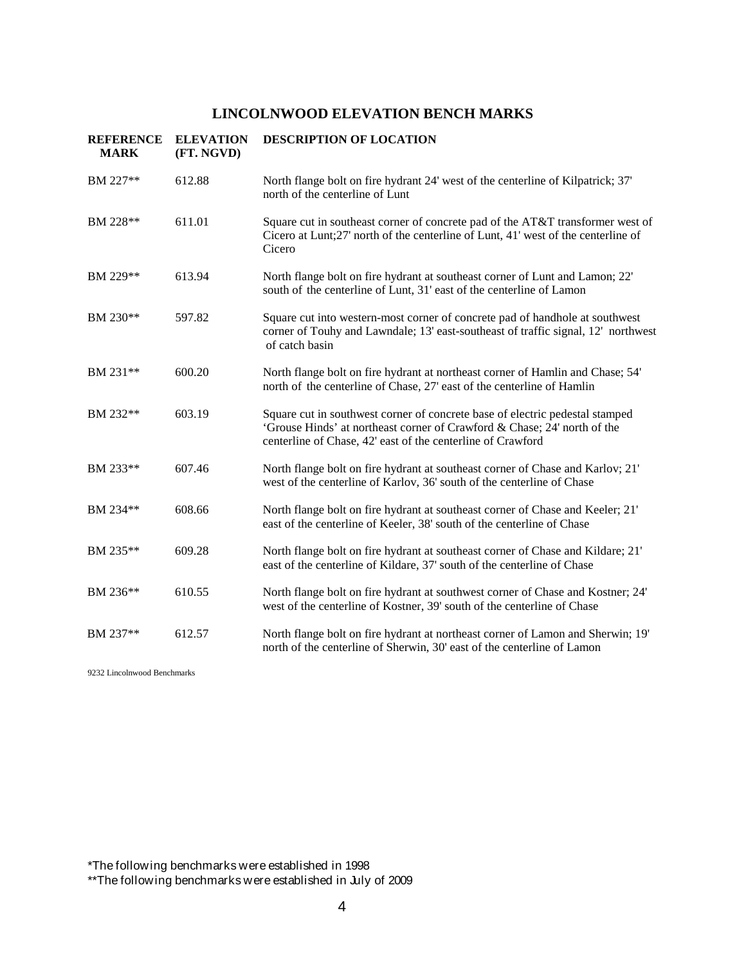| <b>REFERENCE</b><br><b>MARK</b> | <b>ELEVATION</b><br>(FT. NGVD) | <b>DESCRIPTION OF LOCATION</b>                                                                                                                                                                                          |
|---------------------------------|--------------------------------|-------------------------------------------------------------------------------------------------------------------------------------------------------------------------------------------------------------------------|
| BM 227**                        | 612.88                         | North flange bolt on fire hydrant 24' west of the centerline of Kilpatrick; 37'<br>north of the centerline of Lunt                                                                                                      |
| BM 228**                        | 611.01                         | Square cut in southeast corner of concrete pad of the AT&T transformer west of<br>Cicero at Lunt;27' north of the centerline of Lunt, 41' west of the centerline of<br>Cicero                                           |
| BM 229**                        | 613.94                         | North flange bolt on fire hydrant at southeast corner of Lunt and Lamon; 22'<br>south of the centerline of Lunt, 31' east of the centerline of Lamon                                                                    |
| BM 230**                        | 597.82                         | Square cut into western-most corner of concrete pad of handhole at southwest<br>corner of Touhy and Lawndale; 13' east-southeast of traffic signal, 12' northwest<br>of catch basin                                     |
| BM 231**                        | 600.20                         | North flange bolt on fire hydrant at northeast corner of Hamlin and Chase; 54'<br>north of the centerline of Chase, 27' east of the centerline of Hamlin                                                                |
| BM 232**                        | 603.19                         | Square cut in southwest corner of concrete base of electric pedestal stamped<br>'Grouse Hinds' at northeast corner of Crawford & Chase; 24' north of the<br>centerline of Chase, 42' east of the centerline of Crawford |
| BM 233**                        | 607.46                         | North flange bolt on fire hydrant at southeast corner of Chase and Karlov; 21'<br>west of the centerline of Karlov, 36' south of the centerline of Chase                                                                |
| BM 234**                        | 608.66                         | North flange bolt on fire hydrant at southeast corner of Chase and Keeler; 21'<br>east of the centerline of Keeler, 38' south of the centerline of Chase                                                                |
| BM 235**                        | 609.28                         | North flange bolt on fire hydrant at southeast corner of Chase and Kildare; 21'<br>east of the centerline of Kildare, 37' south of the centerline of Chase                                                              |
| BM 236**                        | 610.55                         | North flange bolt on fire hydrant at southwest corner of Chase and Kostner; 24'<br>west of the centerline of Kostner, 39' south of the centerline of Chase                                                              |
| BM 237**                        | 612.57                         | North flange bolt on fire hydrant at northeast corner of Lamon and Sherwin; 19'<br>north of the centerline of Sherwin, 30' east of the centerline of Lamon                                                              |

9232 Lincolnwood Benchmarks

\*The following benchmarks were established in 1998